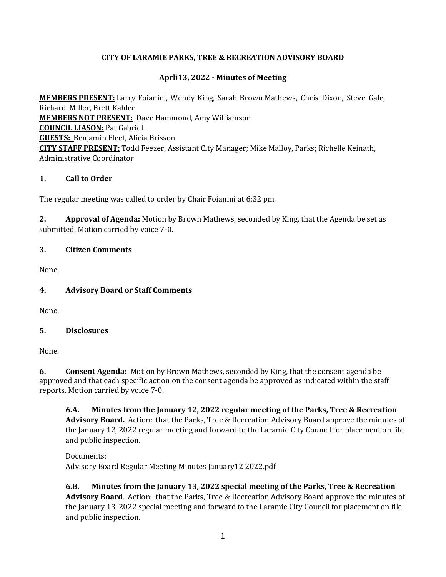### **CITY OF LARAMIE PARKS, TREE & RECREATION ADVISORY BOARD**

### **Aprli13, 2022 - Minutes of Meeting**

**MEMBERS PRESENT:** Larry Foianini, Wendy King, Sarah Brown Mathews, Chris Dixon, Steve Gale, Richard Miller, Brett Kahler **MEMBERS NOT PRESENT:** Dave Hammond, Amy Williamson **COUNCIL LIASON:** Pat Gabriel **GUESTS:** Benjamin Fleet, Alicia Brisson **CITY STAFF PRESENT:** Todd Feezer, Assistant City Manager; Mike Malloy, Parks; Richelle Keinath, Administrative Coordinator

### **1. Call to Order**

The regular meeting was called to order by Chair Foianini at 6:32 pm.

**2. Approval of Agenda:** Motion by Brown Mathews, seconded by King, that the Agenda be set as submitted. Motion carried by voice 7-0.

#### **3. Citizen Comments**

None.

# **4. Advisory Board or Staff Comments**

None.

#### **5. Disclosures**

None.

**6. Consent Agenda:** Motion by Brown Mathews, seconded by King, that the consent agenda be approved and that each specific action on the consent agenda be approved as indicated within the staff reports. Motion carried by voice 7-0.

**6.A. Minutes from the January 12, 2022 regular meeting of the Parks, Tree & Recreation Advisory Board.** Action: that the Parks, Tree & Recreation Advisory Board approve the minutes of the January 12, 2022 regular meeting and forward to the Laramie City Council for placement on file and public inspection.

Documents: Advisory Board Regular Meeting Minutes January12 2022.pdf

**6.B. Minutes from the January 13, 2022 special meeting of the Parks, Tree & Recreation Advisory Board**. Action: that the Parks, Tree & Recreation Advisory Board approve the minutes of the January 13, 2022 special meeting and forward to the Laramie City Council for placement on file and public inspection.